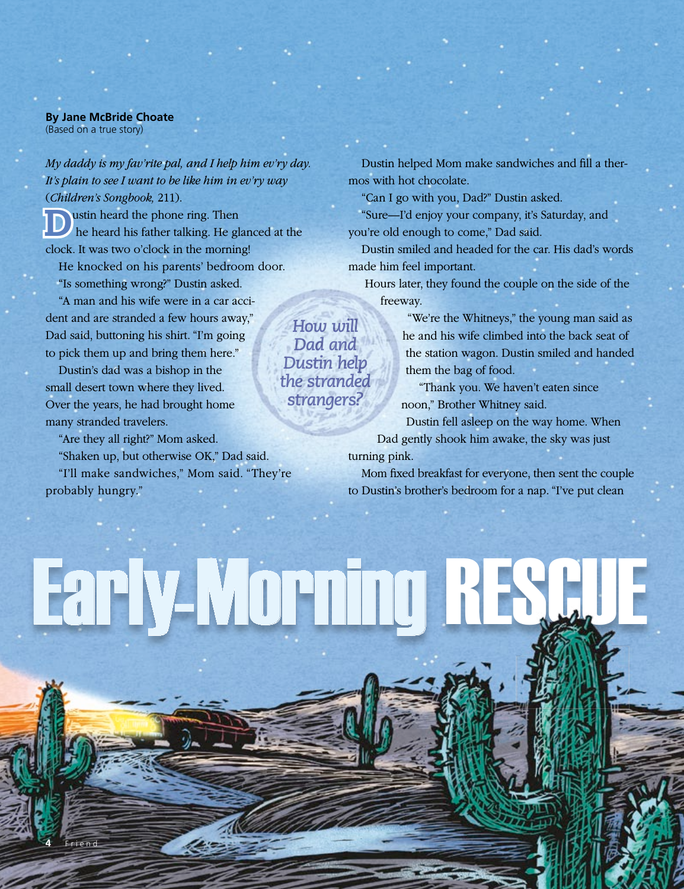## **By Jane McBride Choate** (Based on a true story)

*My daddy is my fav'rite pal, and I help him ev'ry day. It's plain to see I want to be like him in ev'ry way*  (*Children's Songbook,* 211).

Dustin heard the phone ring. Then he heard his father talking. He glanced at the clock. It was two o'clock in the morning!

He knocked on his parents' bedroom door. "Is something wrong?" Dustin asked.

"A man and his wife were in a car accident and are stranded a few hours away," Dad said, buttoning his shirt. "I'm going to pick them up and bring them here."

Dustin's dad was a bishop in the small desert town where they lived. Over the years, he had brought home many stranded travelers.

**4** Friend

"Are they all right?" Mom asked.

"Shaken up, but otherwise OK," Dad said. "I'll make sandwiches," Mom said. "They're probably hungry."

Early-Morning RESCUE

Dustin helped Mom make sandwiches and fill a thermos with hot chocolate.

"Can I go with you, Dad?" Dustin asked.

"Sure—I'd enjoy your company, it's Saturday, and you're old enough to come," Dad said.

Dustin smiled and headed for the car. His dad's words made him feel important.

Hours later, they found the couple on the side of the freeway.

> "We're the Whitneys," the young man said as he and his wife climbed into the back seat of the station wagon. Dustin smiled and handed them the bag of food.

"Thank you. We haven't eaten since noon," Brother Whitney said.

Dustin fell asleep on the way home. When Dad gently shook him awake, the sky was just turning pink.

Mom fixed breakfast for everyone, then sent the couple to Dustin's brother's bedroom for a nap. "I've put clean

*How will Dad and Dustin help the stranded strangers?*